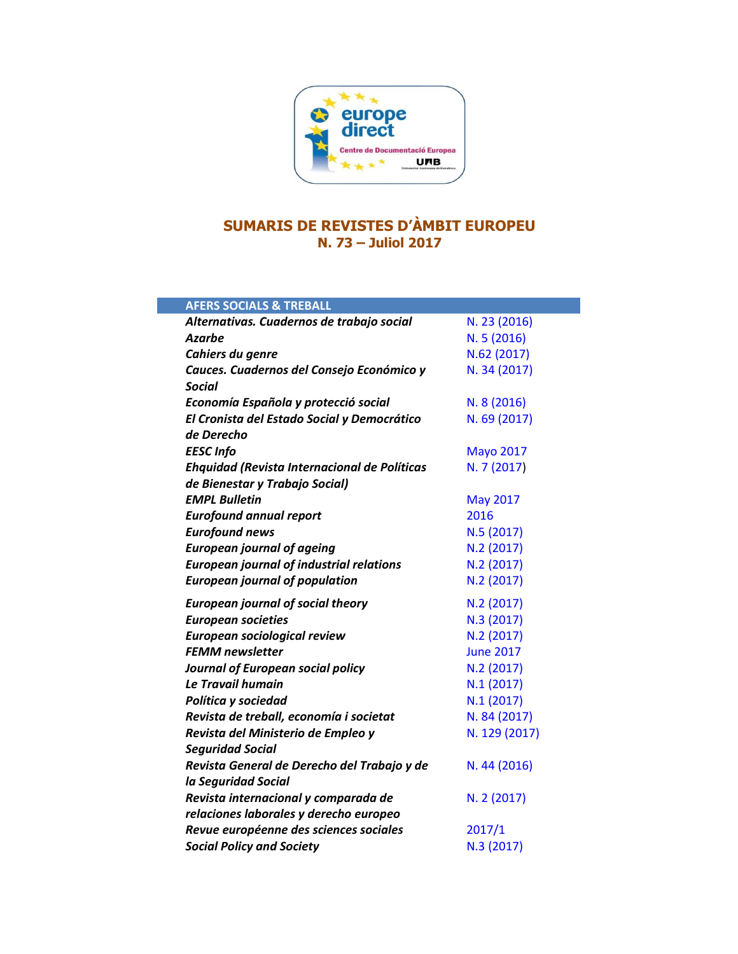

## **SUMARIS DE REVISTES D'ÀMBIT EUROPEU N. 73 – Juliol 2017**

| <b>AFERS SOCIALS &amp; TREBALL</b>              |                  |
|-------------------------------------------------|------------------|
| Alternativas. Cuadernos de trabajo social       | N. 23 (2016)     |
| <b>Azarbe</b>                                   | N.5(2016)        |
| Cahiers du genre                                | N.62 (2017)      |
| Cauces. Cuadernos del Consejo Económico y       | N. 34 (2017)     |
| <b>Social</b>                                   |                  |
| Economía Española y protecció social            | N. 8 (2016)      |
| El Cronista del Estado Social y Democrático     | N. 69 (2017)     |
| de Derecho                                      |                  |
| <b>EESC Info</b>                                | <b>Mayo 2017</b> |
| Ehquidad (Revista Internacional de Políticas    | N. 7 (2017)      |
| de Bienestar y Trabajo Social)                  |                  |
| <b>EMPL Bulletin</b>                            | <b>May 2017</b>  |
| <b>Eurofound annual report</b>                  | 2016             |
| <b>Eurofound news</b>                           | N.5 (2017)       |
| <b>European journal of ageing</b>               | N.2(2017)        |
| <b>European journal of industrial relations</b> | N.2 (2017)       |
| <b>European journal of population</b>           | N.2 (2017)       |
| <b>European journal of social theory</b>        | N.2 (2017)       |
| <b>European societies</b>                       | N.3 (2017)       |
| <b>European sociological review</b>             | N.2 (2017)       |
| <b>FEMM</b> newsletter                          | <b>June 2017</b> |
| Journal of European social policy               | N.2 (2017)       |
| Le Travail humain                               | N.1(2017)        |
| Política y sociedad                             | N.1(2017)        |
| Revista de treball, economía i societat         | N. 84 (2017)     |
| Revista del Ministerio de Empleo y              | N. 129 (2017)    |
| <b>Seguridad Social</b>                         |                  |
| Revista General de Derecho del Trabajo y de     | N. 44 (2016)     |
| la Seguridad Social                             |                  |
| Revista internacional y comparada de            | N. 2 (2017)      |
| relaciones laborales y derecho europeo          |                  |
| Revue européenne des sciences sociales          | 2017/1           |
| <b>Social Policy and Society</b>                | N.3 (2017)       |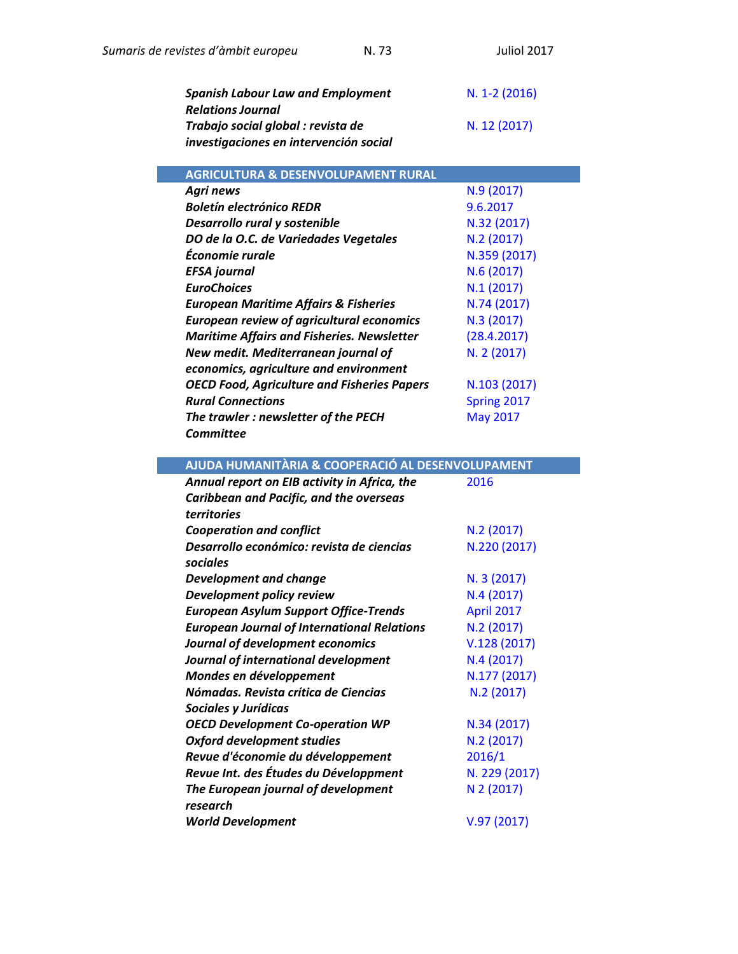| Sumaris de revistes d'àmbit europeu                    | N.73                                               | <b>Juliol 2017</b> |
|--------------------------------------------------------|----------------------------------------------------|--------------------|
| <b>Spanish Labour Law and Employment</b>               |                                                    | N. 1-2 (2016)      |
| <b>Relations Journal</b>                               |                                                    |                    |
| Trabajo social global : revista de                     |                                                    | N. 12 (2017)       |
| investigaciones en intervención social                 |                                                    |                    |
|                                                        | <b>AGRICULTURA &amp; DESENVOLUPAMENT RURAL</b>     |                    |
| Agri news                                              |                                                    | N.9(2017)          |
| <b>Boletín electrónico REDR</b>                        |                                                    | 9.6.2017           |
| Desarrollo rural y sostenible                          |                                                    | N.32 (2017)        |
| DO de la O.C. de Variedades Vegetales                  |                                                    | N.2(2017)          |
| Économie rurale                                        |                                                    | N.359 (2017)       |
| <b>EFSA</b> journal                                    |                                                    | N.6(2017)          |
| <b>EuroChoices</b>                                     |                                                    | N.1(2017)          |
| <b>European Maritime Affairs &amp; Fisheries</b>       |                                                    | N.74 (2017)        |
|                                                        | <b>European review of agricultural economics</b>   | N.3 (2017)         |
|                                                        | <b>Maritime Affairs and Fisheries. Newsletter</b>  | (28.4.2017)        |
| New medit. Mediterranean journal of                    |                                                    | N. 2 (2017)        |
| economics, agriculture and environment                 |                                                    |                    |
|                                                        | <b>OECD Food, Agriculture and Fisheries Papers</b> | N.103 (2017)       |
| <b>Rural Connections</b>                               |                                                    | Spring 2017        |
| The trawler: newsletter of the PECH                    |                                                    | <b>May 2017</b>    |
| <b>Committee</b>                                       |                                                    |                    |
|                                                        | AJUDA HUMANITÀRIA & COOPERACIÓ AL DESENVOLUPAMENT  |                    |
| Annual report on EIB activity in Africa, the           |                                                    | 2016               |
| Caribbean and Pacific, and the overseas<br>territories |                                                    |                    |
| <b>Cooperation and conflict</b>                        |                                                    | N.2(2017)          |
| Desarrollo económico: revista de ciencias              |                                                    | N.220 (2017)       |
| sociales                                               |                                                    |                    |
| <b>Development and change</b>                          |                                                    | N. 3 (2017)        |
| Development policy review                              |                                                    | N.4(2017)          |
| <b>European Asylum Support Office-Trends</b>           |                                                    | April 2017         |
|                                                        | <b>European Journal of International Relations</b> | N.2 (2017)         |
| Journal of development economics                       |                                                    | V.128(2017)        |
| Journal of international development                   |                                                    | N.4(2017)          |
| Mondes en développement                                |                                                    | N.177 (2017)       |
| Nómadas. Revista crítica de Ciencias                   |                                                    | N.2(2017)          |
| Sociales y Jurídicas                                   |                                                    |                    |
| <b>OECD Development Co-operation WP</b>                |                                                    | N.34 (2017)        |
| <b>Oxford development studies</b>                      |                                                    | N.2(2017)          |
| Revue d'économie du développement                      |                                                    | 2016/1             |
| Revue Int. des Études du Développment                  |                                                    | N. 229 (2017)      |
| The European journal of development                    |                                                    | N 2 (2017)         |
| research                                               |                                                    |                    |
| <b>World Development</b>                               |                                                    | V.97(2017)         |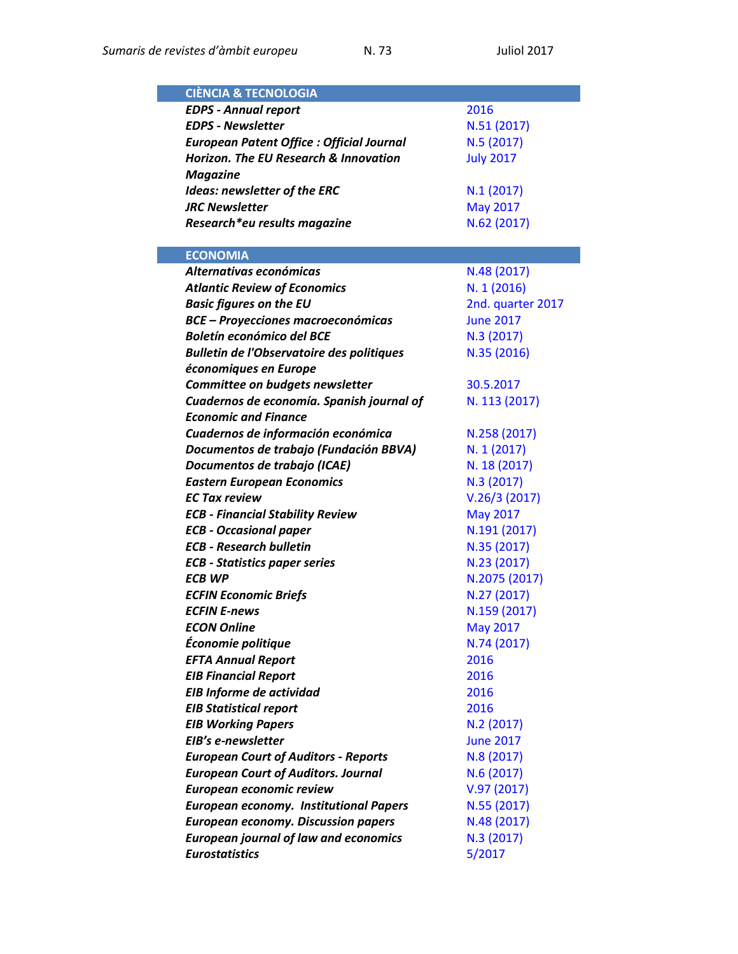| <b>CIÈNCIA &amp; TECNOLOGIA</b>                  |                   |
|--------------------------------------------------|-------------------|
| <b>EDPS - Annual report</b>                      | 2016              |
| <b>EDPS - Newsletter</b>                         | N.51 (2017)       |
| <b>European Patent Office : Official Journal</b> | N.5 (2017)        |
| <b>Horizon. The EU Research &amp; Innovation</b> | <b>July 2017</b>  |
| <b>Magazine</b>                                  |                   |
| Ideas: newsletter of the ERC                     | N.1(2017)         |
| <b>JRC Newsletter</b>                            | <b>May 2017</b>   |
| Research*eu results magazine                     | N.62 (2017)       |
|                                                  |                   |
| <b>ECONOMIA</b>                                  |                   |
| Alternativas económicas                          | N.48 (2017)       |
| <b>Atlantic Review of Economics</b>              | N. 1 (2016)       |
| <b>Basic figures on the EU</b>                   | 2nd. quarter 2017 |
| <b>BCE - Proyecciones macroeconómicas</b>        | <b>June 2017</b>  |
| <b>Boletín económico del BCE</b>                 | N.3 (2017)        |
| <b>Bulletin de l'Observatoire des politiques</b> | N.35 (2016)       |
| économiques en Europe                            |                   |
| Committee on budgets newsletter                  | 30.5.2017         |
| Cuadernos de economía. Spanish journal of        | N. 113 (2017)     |
| <b>Economic and Finance</b>                      |                   |
| Cuadernos de información económica               | N.258 (2017)      |
| Documentos de trabajo (Fundación BBVA)           | N. 1 (2017)       |
| Documentos de trabajo (ICAE)                     | N. 18 (2017)      |
| <b>Eastern European Economics</b>                | N.3 (2017)        |
| <b>EC Tax review</b>                             | V.26/3(2017)      |
| <b>ECB - Financial Stability Review</b>          | <b>May 2017</b>   |
| <b>ECB - Occasional paper</b>                    | N.191 (2017)      |
| <b>ECB - Research bulletin</b>                   | N.35 (2017)       |
| <b>ECB - Statistics paper series</b>             | N.23 (2017)       |
| <b>ECB WP</b>                                    | N.2075 (2017)     |
| <b>ECFIN Economic Briefs</b>                     | N.27 (2017)       |
| <b>ECFIN E-news</b>                              | N.159 (2017)      |
| <b>ECON Online</b>                               | May 2017          |
| Économie politique                               | N.74 (2017)       |
| <b>EFTA Annual Report</b>                        | 2016              |
| <b>EIB Financial Report</b>                      | 2016              |
| EIB Informe de actividad                         | 2016              |
| <b>EIB Statistical report</b>                    | 2016              |
| <b>EIB Working Papers</b>                        | N.2(2017)         |
| EIB's e-newsletter                               | <b>June 2017</b>  |
| <b>European Court of Auditors - Reports</b>      | N.8 (2017)        |
| <b>European Court of Auditors. Journal</b>       | N.6(2017)         |
| European economic review                         | V.97(2017)        |
| <b>European economy. Institutional Papers</b>    | N.55 (2017)       |
| <b>European economy. Discussion papers</b>       | N.48 (2017)       |
| <b>European journal of law and economics</b>     | N.3 (2017)        |
| <b>Eurostatistics</b>                            | 5/2017            |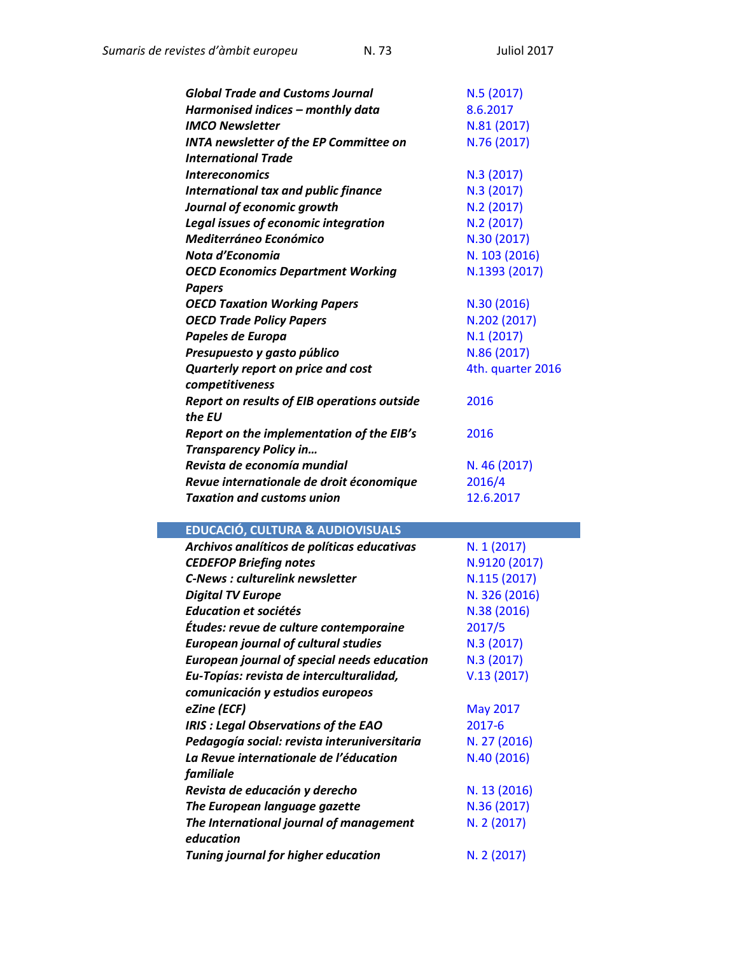| <b>Global Trade and Customs Journal</b>            | N.5(2017)         |
|----------------------------------------------------|-------------------|
| Harmonised indices - monthly data                  | 8.6.2017          |
| <b>IMCO Newsletter</b>                             | N.81 (2017)       |
| <b>INTA newsletter of the EP Committee on</b>      | N.76 (2017)       |
| <b>International Trade</b>                         |                   |
| <i><b>Intereconomics</b></i>                       | N.3 (2017)        |
| <b>International tax and public finance</b>        | N.3 (2017)        |
| Journal of economic growth                         | N.2 (2017)        |
| <b>Legal issues of economic integration</b>        | N.2(2017)         |
| Mediterráneo Económico                             | N.30 (2017)       |
| Nota d'Economia                                    | N. 103 (2016)     |
| <b>OECD Economics Department Working</b>           | N.1393 (2017)     |
| <b>Papers</b>                                      |                   |
| <b>OECD Taxation Working Papers</b>                | N.30 (2016)       |
| <b>OECD Trade Policy Papers</b>                    | N.202 (2017)      |
| Papeles de Europa                                  | N.1(2017)         |
| Presupuesto y gasto público                        | N.86 (2017)       |
| <b>Quarterly report on price and cost</b>          | 4th. quarter 2016 |
| competitiveness                                    |                   |
| <b>Report on results of EIB operations outside</b> | 2016              |
| the EU                                             |                   |
| Report on the implementation of the EIB's          | 2016              |
| <b>Transparency Policy in</b>                      |                   |
| Revista de economía mundial                        | N. 46 (2017)      |
| Revue internationale de droit économique           | 2016/4            |
| <b>Taxation and customs union</b>                  | 12.6.2017         |

## **EDUCACIÓ, CULTURA & AUDIOVISUALS**

| Archivos analíticos de políticas educativas        | N. 1 (2017)     |
|----------------------------------------------------|-----------------|
| <b>CEDEFOP Briefing notes</b>                      | N.9120 (2017)   |
| <b>C-News: culturelink newsletter</b>              | N.115 (2017)    |
| <b>Digital TV Europe</b>                           | N. 326 (2016)   |
| Education et sociétés                              | N.38 (2016)     |
| Études: revue de culture contemporaine             | 2017/5          |
| <b>European journal of cultural studies</b>        | N.3 (2017)      |
| <b>European journal of special needs education</b> | N.3 (2017)      |
| Eu-Topías: revista de interculturalidad,           | V.13(2017)      |
| comunicación y estudios europeos                   |                 |
| eZine (ECF)                                        | <b>May 2017</b> |
| <b>IRIS : Legal Observations of the EAO</b>        | 2017-6          |
| Pedagogía social: revista interuniversitaria       | N. 27 (2016)    |
| La Revue internationale de l'éducation             | N.40 (2016)     |
| familiale                                          |                 |
| Revista de educación y derecho                     | N. 13 (2016)    |
| The European language gazette                      | N.36 (2017)     |
| The International journal of management            | N. 2 (2017)     |
| education                                          |                 |
| <b>Tuning journal for higher education</b>         | N. 2 (2017)     |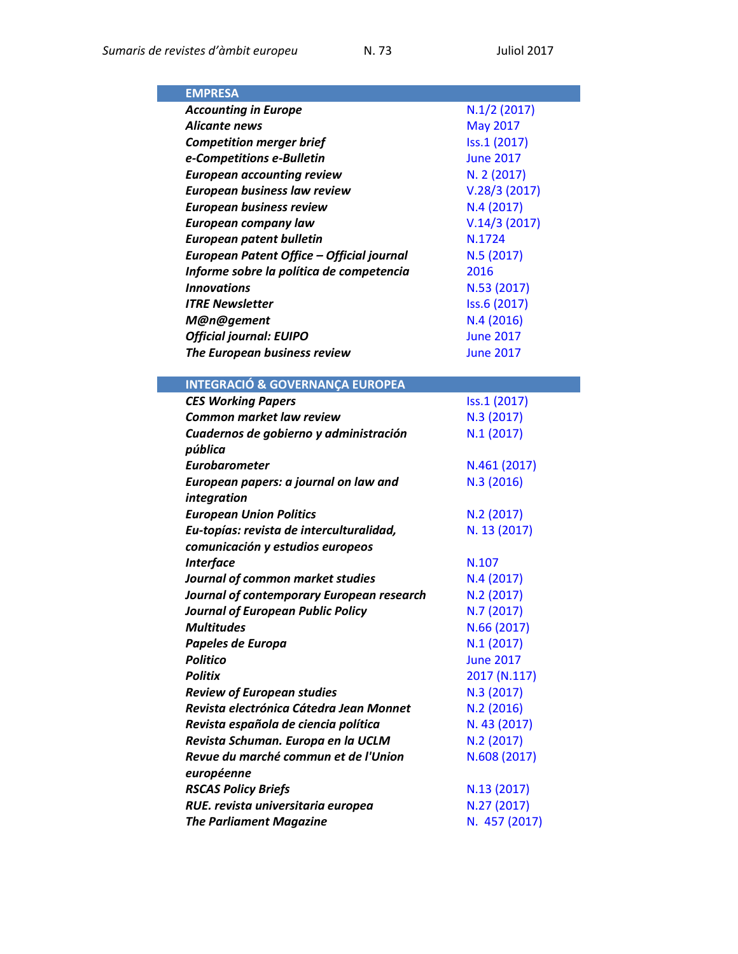| <b>EMPRESA</b>                             |                  |
|--------------------------------------------|------------------|
| <b>Accounting in Europe</b>                | $N.1/2$ (2017)   |
| Alicante news                              | <b>May 2017</b>  |
| <b>Competition merger brief</b>            | Iss.1 (2017)     |
| e-Competitions e-Bulletin                  | <b>June 2017</b> |
| <b>European accounting review</b>          | N. 2 (2017)      |
| European business law review               | V.28/3(2017)     |
| <b>European business review</b>            | N.4(2017)        |
| <b>European company law</b>                | V.14/3(2017)     |
| <b>European patent bulletin</b>            | N.1724           |
| European Patent Office - Official journal  | N.5(2017)        |
| Informe sobre la política de competencia   | 2016             |
| <b>Innovations</b>                         | N.53 (2017)      |
| <b>ITRE Newsletter</b>                     | Iss.6 (2017)     |
| M@n@gement                                 | N.4(2016)        |
| <b>Official journal: EUIPO</b>             | <b>June 2017</b> |
| The European business review               | <b>June 2017</b> |
|                                            |                  |
| <b>INTEGRACIÓ &amp; GOVERNANÇA EUROPEA</b> |                  |
| <b>CES Working Papers</b>                  | Iss.1 (2017)     |
| <b>Common market law review</b>            | N.3 (2017)       |
| Cuadernos de gobierno y administración     | N.1(2017)        |
| pública                                    |                  |
| <b>Eurobarometer</b>                       | N.461 (2017)     |
| European papers: a journal on law and      | N.3 (2016)       |
| integration                                |                  |
| <b>European Union Politics</b>             | N.2(2017)        |
| Eu-topías: revista de interculturalidad,   | N. 13 (2017)     |
| comunicación y estudios europeos           |                  |
| <b>Interface</b>                           | N.107            |
| Journal of common market studies           | N.4(2017)        |
| Journal of contemporary European research  | N.2(2017)        |
| <b>Journal of European Public Policy</b>   | N.7 (2017)       |
| <b>Multitudes</b>                          | N.66 (2017)      |
| Papeles de Europa                          | N.1(2017)        |
| <b>Politico</b>                            | <b>June 2017</b> |
| <b>Politix</b>                             | 2017 (N.117)     |
| <b>Review of European studies</b>          | N.3 (2017)       |
| Revista electrónica Cátedra Jean Monnet    | N.2(2016)        |
| Revista española de ciencia política       | N. 43 (2017)     |
| Revista Schuman. Europa en la UCLM         | N.2(2017)        |
| Revue du marché commun et de l'Union       | N.608 (2017)     |
| européenne                                 |                  |
| <b>RSCAS Policy Briefs</b>                 | N.13 (2017)      |
| RUE. revista universitaria europea         | N.27 (2017)      |
| <b>The Parliament Magazine</b>             | N. 457 (2017)    |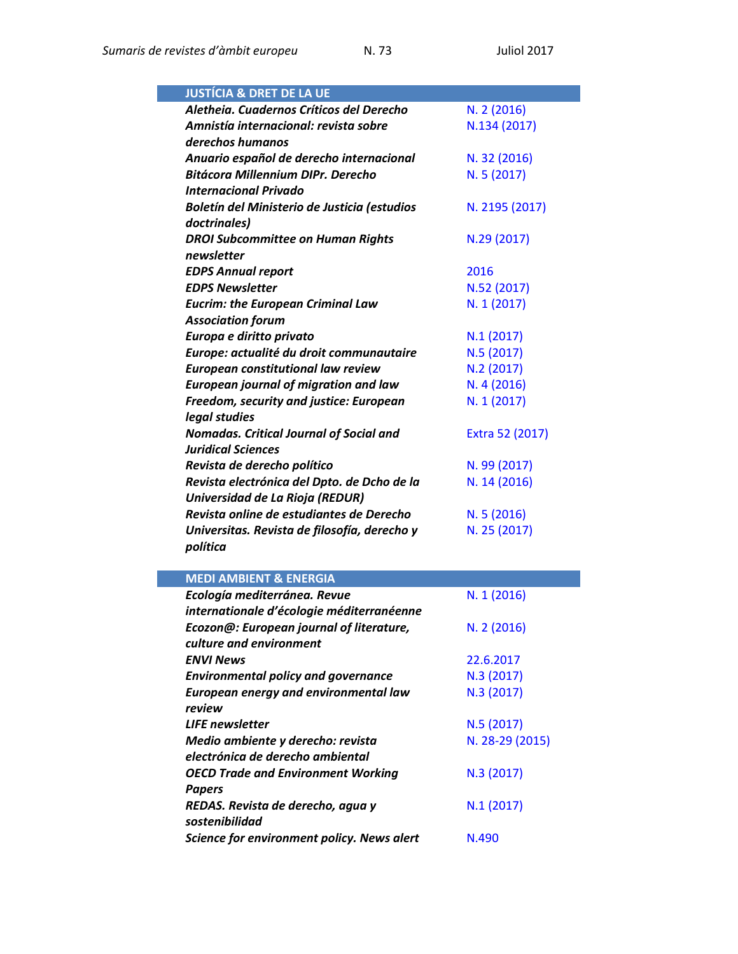| <b>JUSTÍCIA &amp; DRET DE LA UE</b>            |                 |
|------------------------------------------------|-----------------|
| Aletheia. Cuadernos Críticos del Derecho       | N. 2 (2016)     |
| Amnistía internacional: revista sobre          | N.134 (2017)    |
| derechos humanos                               |                 |
| Anuario español de derecho internacional       | N. 32 (2016)    |
| <b>Bitácora Millennium DIPr. Derecho</b>       | N. 5 (2017)     |
| <b>Internacional Privado</b>                   |                 |
| Boletín del Ministerio de Justicia (estudios   | N. 2195 (2017)  |
| doctrinales)                                   |                 |
| <b>DROI Subcommittee on Human Rights</b>       | N.29 (2017)     |
| newsletter                                     |                 |
| <b>EDPS Annual report</b>                      | 2016            |
| <b>EDPS Newsletter</b>                         | N.52 (2017)     |
| <b>Eucrim: the European Criminal Law</b>       | N. 1 (2017)     |
| <b>Association forum</b>                       |                 |
| Europa e diritto privato                       | N.1(2017)       |
| Europe: actualité du droit communautaire       | N.5 (2017)      |
| <b>European constitutional law review</b>      | N.2 (2017)      |
| <b>European journal of migration and law</b>   | N.4(2016)       |
| Freedom, security and justice: European        | N. 1 (2017)     |
| legal studies                                  |                 |
| <b>Nomadas. Critical Journal of Social and</b> | Extra 52 (2017) |
| <b>Juridical Sciences</b>                      |                 |
| Revista de derecho político                    | N. 99 (2017)    |
| Revista electrónica del Dpto. de Dcho de la    | N. 14 (2016)    |
| Universidad de La Rioja (REDUR)                |                 |
| Revista online de estudiantes de Derecho       | N. 5 (2016)     |
| Universitas. Revista de filosofía, derecho y   | N. 25 (2017)    |
| política                                       |                 |
|                                                |                 |
| <b>MEDI AMBIENT &amp; ENERGIA</b>              |                 |
| Ecología mediterránea. Revue                   | N. 1 (2016)     |
| internationale d'écologie méditerranéenne      |                 |

| ecologia mealterranea. Revue                        | <b>N. 1 (2010)</b> |
|-----------------------------------------------------|--------------------|
| internationale d'écologie méditerranéenne           |                    |
| Ecozon@: European journal of literature,            | N. 2 (2016)        |
| culture and environment                             |                    |
| <b>ENVI News</b>                                    | 22.6.2017          |
| <b>Environmental policy and governance</b>          | N.3 (2017)         |
| European energy and environmental law               | N.3 (2017)         |
| review                                              |                    |
| <b>LIFE</b> newsletter                              | N.5(2017)          |
| Medio ambiente y derecho: revista                   | N. 28-29 (2015)    |
| electrónica de derecho ambiental                    |                    |
| <b>OECD Trade and Environment Working</b>           | N.3(2017)          |
| <b>Papers</b>                                       |                    |
| REDAS. Revista de derecho, agua y<br>sostenibilidad | N.1(2017)          |
| Science for environment policy. News alert          | N.490              |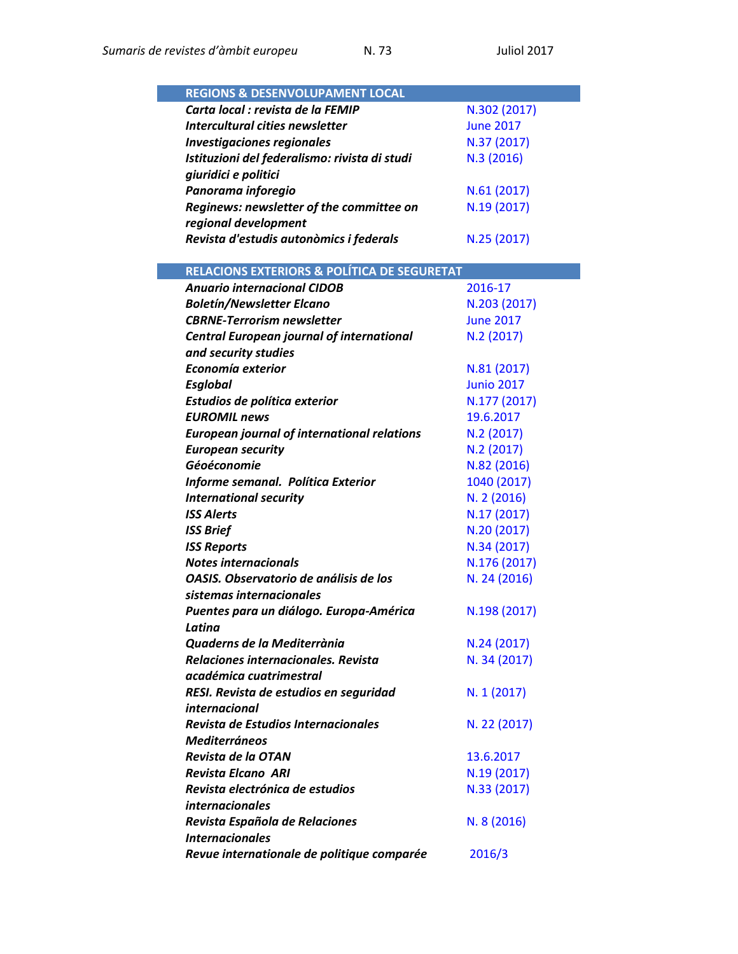| <b>REGIONS &amp; DESENVOLUPAMENT LOCAL</b>              |                   |
|---------------------------------------------------------|-------------------|
| Carta local : revista de la FEMIP                       | N.302 (2017)      |
| Intercultural cities newsletter                         | <b>June 2017</b>  |
| <b>Investigaciones regionales</b>                       | N.37 (2017)       |
| Istituzioni del federalismo: rivista di studi           | N.3 (2016)        |
| giuridici e politici                                    |                   |
| Panorama inforegio                                      | N.61 (2017)       |
| Reginews: newsletter of the committee on                | N.19 (2017)       |
| regional development                                    |                   |
| Revista d'estudis autonòmics i federals                 | N.25 (2017)       |
|                                                         |                   |
| <b>RELACIONS EXTERIORS &amp; POLÍTICA DE SEGURETAT</b>  |                   |
| <b>Anuario internacional CIDOB</b>                      | 2016-17           |
| <b>Boletín/Newsletter Elcano</b>                        | N.203 (2017)      |
| <b>CBRNE-Terrorism newsletter</b>                       | <b>June 2017</b>  |
| <b>Central European journal of international</b>        | N.2(2017)         |
| and security studies                                    |                   |
| Economía exterior                                       | N.81 (2017)       |
| <b>Esglobal</b>                                         | <b>Junio 2017</b> |
| Estudios de política exterior                           | N.177 (2017)      |
| <b>EUROMIL news</b>                                     | 19.6.2017         |
| <b>European journal of international relations</b>      | N.2(2017)         |
| <b>European security</b>                                | N.2(2017)         |
| Géoéconomie                                             | N.82 (2016)       |
| Informe semanal. Política Exterior                      | 1040 (2017)       |
| <b>International security</b>                           | N. 2 (2016)       |
| <b>ISS Alerts</b>                                       | N.17 (2017)       |
| <b>ISS Brief</b>                                        | N.20 (2017)       |
| <b>ISS Reports</b>                                      | N.34 (2017)       |
| <b>Notes internacionals</b>                             | N.176 (2017)      |
| OASIS. Observatorio de análisis de los                  | N. 24 (2016)      |
| sistemas internacionales                                |                   |
| Puentes para un diálogo. Europa-América                 | N.198 (2017)      |
| Latina                                                  |                   |
| Quaderns de la Mediterrània                             | N.24 (2017)       |
| Relaciones internacionales. Revista                     | N. 34 (2017)      |
| académica cuatrimestral                                 |                   |
|                                                         |                   |
| RESI. Revista de estudios en seguridad<br>internacional | N. 1 (2017)       |
| Revista de Estudios Internacionales                     |                   |
| <b>Mediterráneos</b>                                    | N. 22 (2017)      |
|                                                         |                   |
| Revista de la OTAN                                      | 13.6.2017         |
| <b>Revista Elcano ARI</b>                               | N.19 (2017)       |
| Revista electrónica de estudios                         | N.33 (2017)       |
| internacionales                                         |                   |
| Revista Española de Relaciones                          | N. 8 (2016)       |
| <i><b>Internacionales</b></i>                           |                   |
| Revue internationale de politique comparée              | 2016/3            |